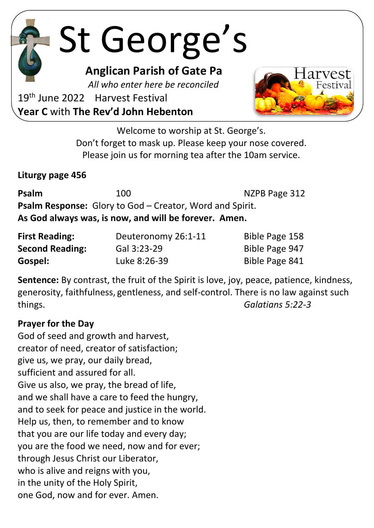St George's

**Anglican Parish of Gate Pa**

 *All who enter here be reconciled*

19<sup>th</sup> June 2022 Harvest Festival **Year C** with **The Rev'd John Hebenton**



Welcome to worship at St. George's. Don't forget to mask up. Please keep your nose covered. Please join us for morning tea after the 10am service.

**Liturgy page 456**

| Psalm                                                 | 100 | NZPB Page 312                                                   |  |  |
|-------------------------------------------------------|-----|-----------------------------------------------------------------|--|--|
|                                                       |     | <b>Psalm Response:</b> Glory to God – Creator, Word and Spirit. |  |  |
| As God always was, is now, and will be forever. Amen. |     |                                                                 |  |  |

| <b>First Reading:</b>  | Deuteronomy 26:1-11 | Bible Page 158 |
|------------------------|---------------------|----------------|
| <b>Second Reading:</b> | Gal 3:23-29         | Bible Page 947 |
| Gospel:                | Luke 8:26-39        | Bible Page 841 |

**Sentence:** By contrast, the fruit of the Spirit is love, joy, peace, patience, kindness, generosity, faithfulness, gentleness, and self-control. There is no law against such things. *Galatians 5:22-3*

#### **Prayer for the Day**

God of seed and growth and harvest, creator of need, creator of satisfaction; give us, we pray, our daily bread, sufficient and assured for all. Give us also, we pray, the bread of life, and we shall have a care to feed the hungry, and to seek for peace and justice in the world. Help us, then, to remember and to know that you are our life today and every day; you are the food we need, now and for ever; through Jesus Christ our Liberator, who is alive and reigns with you, in the unity of the Holy Spirit, one God, now and for ever. Amen.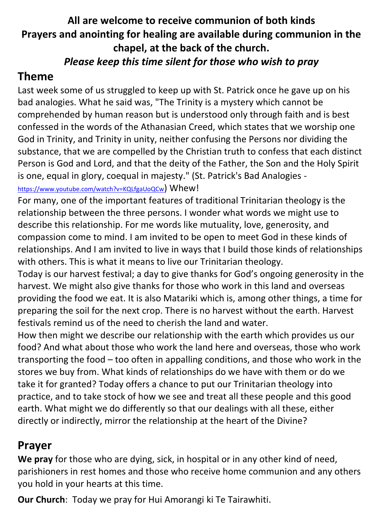## **All are welcome to receive communion of both kinds Prayers and anointing for healing are available during communion in the chapel, at the back of the church.** *Please keep this time silent for those who wish to pray*

## **Theme**

Last week some of us struggled to keep up with St. Patrick once he gave up on his bad analogies. What he said was, "The Trinity is a mystery which cannot be comprehended by human reason but is understood only through faith and is best confessed in the words of the Athanasian Creed, which states that we worship one God in Trinity, and Trinity in unity, neither confusing the Persons nor dividing the substance, that we are compelled by the Christian truth to confess that each distinct Person is God and Lord, and that the deity of the Father, the Son and the Holy Spirit is one, equal in glory, coequal in majesty." (St. Patrick's Bad Analogies -

<https://www.youtube.com/watch?v=KQLfgaUoQCw>) Whew!

For many, one of the important features of traditional Trinitarian theology is the relationship between the three persons. I wonder what words we might use to describe this relationship. For me words like mutuality, love, generosity, and compassion come to mind. I am invited to be open to meet God in these kinds of relationships. And I am invited to live in ways that I build those kinds of relationships with others. This is what it means to live our Trinitarian theology.

Today is our harvest festival; a day to give thanks for God's ongoing generosity in the harvest. We might also give thanks for those who work in this land and overseas providing the food we eat. It is also Matariki which is, among other things, a time for preparing the soil for the next crop. There is no harvest without the earth. Harvest festivals remind us of the need to cherish the land and water.

How then might we describe our relationship with the earth which provides us our food? And what about those who work the land here and overseas, those who work transporting the food – too often in appalling conditions, and those who work in the stores we buy from. What kinds of relationships do we have with them or do we take it for granted? Today offers a chance to put our Trinitarian theology into practice, and to take stock of how we see and treat all these people and this good earth. What might we do differently so that our dealings with all these, either directly or indirectly, mirror the relationship at the heart of the Divine?

# **Prayer**

**We pray** for those who are dying, sick, in hospital or in any other kind of need, parishioners in rest homes and those who receive home communion and any others you hold in your hearts at this time.

**Our Church**: Today we pray for Hui Amorangi ki Te Tairawhiti.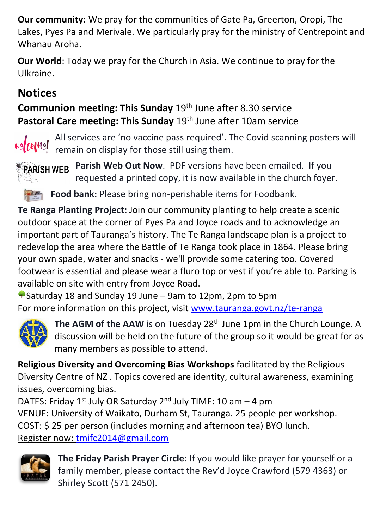**Our community:** We pray for the communities of Gate Pa, Greerton, Oropi, The Lakes, Pyes Pa and Merivale. We particularly pray for the ministry of Centrepoint and Whanau Aroha.

**Our World**: Today we pray for the Church in Asia. We continue to pray for the Ulkraine.

# **Notices**

**Communion meeting: This Sunday** 19th June after 8.30 service **Pastoral Care meeting: This Sunday** 19th June after 10am service



All services are 'no vaccine pass required'. The Covid scanning posters will  $\omega$ elcomel constructs and display for those still using them.

**Parish Web Out Now**. PDF versions have been emailed. If you **PARISH WEB** requested a printed copy, it is now available in the church foyer.

**Food bank:** Please bring non-perishable items for Foodbank.

**Te Ranga Planting Project:** Join our community planting to help create a scenic outdoor space at the corner of Pyes Pa and Joyce roads and to acknowledge an important part of Tauranga's history. The Te Ranga landscape plan is a project to redevelop the area where the Battle of Te Ranga took place in 1864. Please bring your own spade, water and snacks - we'll provide some catering too. Covered footwear is essential and please wear a fluro top or vest if you're able to. Parking is available on site with entry from Joyce Road.

Saturday 18 and Sunday 19 June – 9am to 12pm, 2pm to 5pm For more information on this project, visit [www.tauranga.govt.nz/te-ranga](https://l.facebook.com/l.php?u=http%3A%2F%2Fwww.tauranga.govt.nz%2Fte-ranga%3Ffbclid%3DIwAR3xoiwRmK_ck-xLFAmwHQqBPDIliD_BZPC7CGJ4MovY4_xwLzr-stCbc3U&h=AT0Rbf998JcFx2oOKqZUwEYtQ1PoyWb31mbwE-LNPmugSDZwA-v4WwYbXCUKFhGBe7xZc9oCV1bW2sv6KM_fGasIS5qeCNwXzpa2s5GC9Sbx2RHWUUkyx9l_uw_Il2YQdCevr174QQxh9PJ5Phqsu8txDQ&__tn__=-UK-y-R&c%5b0%5d=AT3_-ocakWaKP9FtjqAuQW3K97bgc9icVkyShEvViFFTRUUSDJbEx21JtV9Z448lu4MaqcJHvr0ExrK8Th3fltFkOkruLGUspdJK5jQHyyYvy7UrCrLL8C4qyf1MVfdEtRPsYwRf8MDwcVO4mQb-4eTF3plGrQYCsDqiHPNOFCMEPXB2k2McGt1QWsZqiA0WqD4pNGytLKkpfrT5wDJNE_OgEQXDADXyJXanN24oS6Pd8Xc)



The AGM of the AAW is on Tuesday 28<sup>th</sup> June 1pm in the Church Lounge. A discussion will be held on the future of the group so it would be great for as many members as possible to attend.

**Religious Diversity and Overcoming Bias Workshops** facilitated by the Religious Diversity Centre of NZ . Topics covered are identity, cultural awareness, examining issues, overcoming bias.

DATES: Friday  $1^{st}$  July OR Saturday  $2^{nd}$  July TIME: 10 am  $-$  4 pm VENUE: University of Waikato, Durham St, Tauranga. 25 people per workshop. COST: \$ 25 per person (includes morning and afternoon tea) BYO lunch. Register now: [tmifc2014@gmail.com](mailto:tmifc2014@gmail.com)



**The Friday Parish Prayer Circle**: If you would like prayer for yourself or a family member, please contact the Rev'd Joyce Crawford (579 4363) or Shirley Scott (571 2450).